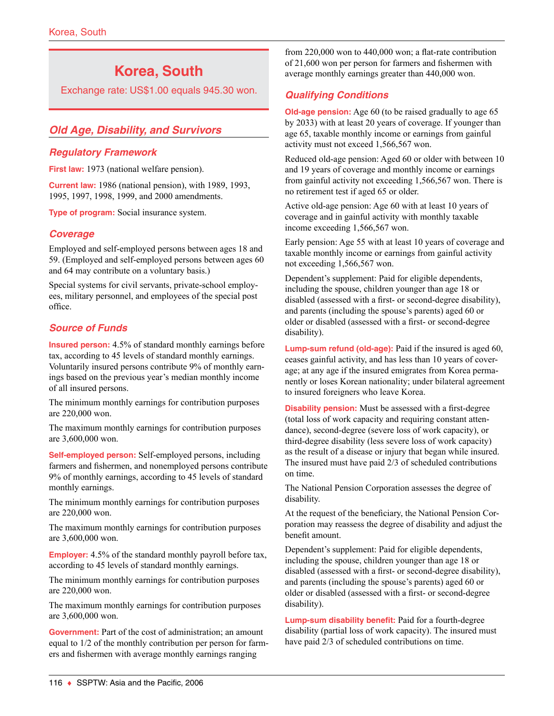# **Korea, South**

Exchange rate: US\$1.00 equals 945.30 won.

# *Old Age, Disability, and Survivors*

#### *Regulatory Framework*

**First law:** 1973 (national welfare pension).

**Current law:** 1986 (national pension), with 1989, 1993, 1995, 1997, 1998, 1999, and 2000 amendments.

**Type of program:** Social insurance system.

### *Coverage*

Employed and self-employed persons between ages 18 and 59. (Employed and self-employed persons between ages 60 and 64 may contribute on a voluntary basis.)

Special systems for civil servants, private-school employees, military personnel, and employees of the special post office.

### *Source of Funds*

**Insured person:** 4.5% of standard monthly earnings before tax, according to 45 levels of standard monthly earnings. Voluntarily insured persons contribute 9% of monthly earnings based on the previous year's median monthly income of all insured persons.

The minimum monthly earnings for contribution purposes are 220,000 won.

The maximum monthly earnings for contribution purposes are 3,600,000 won.

**Self-employed person:** Self-employed persons, including farmers and fishermen, and nonemployed persons contribute 9% of monthly earnings, according to 45 levels of standard monthly earnings.

The minimum monthly earnings for contribution purposes are 220,000 won.

The maximum monthly earnings for contribution purposes are 3,600,000 won.

**Employer:** 4.5% of the standard monthly payroll before tax, according to 45 levels of standard monthly earnings.

The minimum monthly earnings for contribution purposes are 220,000 won.

The maximum monthly earnings for contribution purposes are 3,600,000 won.

**Government:** Part of the cost of administration; an amount equal to 1/2 of the monthly contribution per person for farmers and fishermen with average monthly earnings ranging

from 220,000 won to 440,000 won; a flat-rate contribution of 21,600 won per person for farmers and fishermen with average monthly earnings greater than 440,000 won.

### *Qualifying Conditions*

**Old-age pension:** Age 60 (to be raised gradually to age 65 by 2033) with at least 20 years of coverage. If younger than age 65, taxable monthly income or earnings from gainful activity must not exceed 1,566,567 won.

Reduced old-age pension: Aged 60 or older with between 10 and 19 years of coverage and monthly income or earnings from gainful activity not exceeding 1,566,567 won. There is no retirement test if aged 65 or older.

Active old-age pension: Age 60 with at least 10 years of coverage and in gainful activity with monthly taxable income exceeding 1,566,567 won.

Early pension: Age 55 with at least 10 years of coverage and taxable monthly income or earnings from gainful activity not exceeding 1,566,567 won.

Dependent's supplement: Paid for eligible dependents, including the spouse, children younger than age 18 or disabled (assessed with a first- or second-degree disability), and parents (including the spouse's parents) aged 60 or older or disabled (assessed with a first- or second-degree disability).

**Lump-sum refund (old-age):** Paid if the insured is aged 60, ceases gainful activity, and has less than 10 years of coverage; at any age if the insured emigrates from Korea permanently or loses Korean nationality; under bilateral agreement to insured foreigners who leave Korea.

**Disability pension:** Must be assessed with a first-degree (total loss of work capacity and requiring constant attendance), second-degree (severe loss of work capacity), or third-degree disability (less severe loss of work capacity) as the result of a disease or injury that began while insured. The insured must have paid 2/3 of scheduled contributions on time.

The National Pension Corporation assesses the degree of disability.

At the request of the beneficiary, the National Pension Corporation may reassess the degree of disability and adjust the benefit amount.

Dependent's supplement: Paid for eligible dependents, including the spouse, children younger than age 18 or disabled (assessed with a first- or second-degree disability), and parents (including the spouse's parents) aged 60 or older or disabled (assessed with a first- or second-degree disability).

**Lump-sum disability benefit:** Paid for a fourth-degree disability (partial loss of work capacity). The insured must have paid 2/3 of scheduled contributions on time.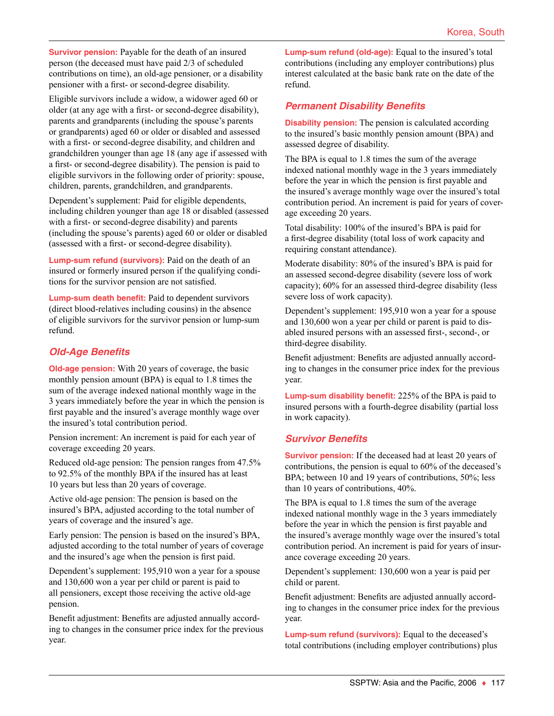**Survivor pension:** Payable for the death of an insured person (the deceased must have paid 2/3 of scheduled contributions on time), an old-age pensioner, or a disability pensioner with a first- or second-degree disability.

Eligible survivors include a widow, a widower aged 60 or older (at any age with a first- or second-degree disability), parents and grandparents (including the spouse's parents or grandparents) aged 60 or older or disabled and assessed with a first- or second-degree disability, and children and grandchildren younger than age 18 (any age if assessed with a first- or second-degree disability). The pension is paid to eligible survivors in the following order of priority: spouse, children, parents, grandchildren, and grandparents.

Dependent's supplement: Paid for eligible dependents, including children younger than age 18 or disabled (assessed with a first- or second-degree disability) and parents (including the spouse's parents) aged 60 or older or disabled (assessed with a first- or second-degree disability).

**Lump-sum refund (survivors):** Paid on the death of an insured or formerly insured person if the qualifying conditions for the survivor pension are not satisfied.

**Lump-sum death benefit:** Paid to dependent survivors (direct blood-relatives including cousins) in the absence of eligible survivors for the survivor pension or lump-sum refund.

### *Old-Age Benefits*

**Old-age pension:** With 20 years of coverage, the basic monthly pension amount (BPA) is equal to 1.8 times the sum of the average indexed national monthly wage in the 3 years immediately before the year in which the pension is first payable and the insured's average monthly wage over the insured's total contribution period.

Pension increment: An increment is paid for each year of coverage exceeding 20 years.

Reduced old-age pension: The pension ranges from 47.5% to 92.5% of the monthly BPA if the insured has at least 10 years but less than 20 years of coverage.

Active old-age pension: The pension is based on the insured's BPA, adjusted according to the total number of years of coverage and the insured's age.

Early pension: The pension is based on the insured's BPA, adjusted according to the total number of years of coverage and the insured's age when the pension is first paid.

Dependent's supplement: 195,910 won a year for a spouse and 130,600 won a year per child or parent is paid to all pensioners, except those receiving the active old-age pension.

Benefit adjustment: Benefits are adjusted annually according to changes in the consumer price index for the previous year.

**Lump-sum refund (old-age):** Equal to the insured's total contributions (including any employer contributions) plus interest calculated at the basic bank rate on the date of the refund.

### *Permanent Disability Benefits*

**Disability pension:** The pension is calculated according to the insured's basic monthly pension amount (BPA) and assessed degree of disability.

The BPA is equal to 1.8 times the sum of the average indexed national monthly wage in the 3 years immediately before the year in which the pension is first payable and the insured's average monthly wage over the insured's total contribution period. An increment is paid for years of coverage exceeding 20 years.

Total disability: 100% of the insured's BPA is paid for a first-degree disability (total loss of work capacity and requiring constant attendance).

Moderate disability: 80% of the insured's BPA is paid for an assessed second-degree disability (severe loss of work capacity); 60% for an assessed third-degree disability (less severe loss of work capacity).

Dependent's supplement: 195,910 won a year for a spouse and 130,600 won a year per child or parent is paid to disabled insured persons with an assessed first-, second-, or third-degree disability.

Benefit adjustment: Benefits are adjusted annually according to changes in the consumer price index for the previous year.

**Lump-sum disability benefit:** 225% of the BPA is paid to insured persons with a fourth-degree disability (partial loss in work capacity).

### *Survivor Benefits*

**Survivor pension:** If the deceased had at least 20 years of contributions, the pension is equal to 60% of the deceased's BPA; between 10 and 19 years of contributions, 50%; less than 10 years of contributions, 40%.

The BPA is equal to 1.8 times the sum of the average indexed national monthly wage in the 3 years immediately before the year in which the pension is first payable and the insured's average monthly wage over the insured's total contribution period. An increment is paid for years of insurance coverage exceeding 20 years.

Dependent's supplement: 130,600 won a year is paid per child or parent.

Benefit adjustment: Benefits are adjusted annually according to changes in the consumer price index for the previous year.

**Lump-sum refund (survivors):** Equal to the deceased's total contributions (including employer contributions) plus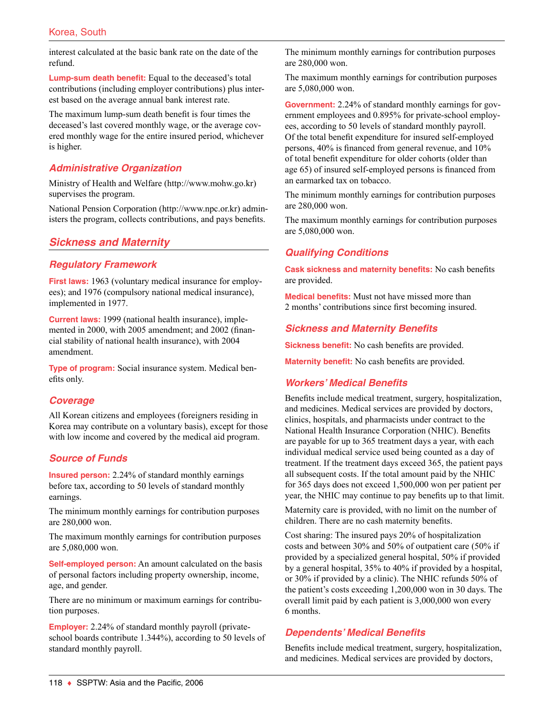interest calculated at the basic bank rate on the date of the refund.

**Lump-sum death benefit:** Equal to the deceased's total contributions (including employer contributions) plus interest based on the average annual bank interest rate.

The maximum lump-sum death benefit is four times the deceased's last covered monthly wage, or the average covered monthly wage for the entire insured period, whichever is higher.

### *Administrative Organization*

Ministry of Health and Welfare (http://www.mohw.go.kr) supervises the program.

National Pension Corporation (http://www.npc.or.kr) administers the program, collects contributions, and pays benefits.

### *Sickness and Maternity*

#### *Regulatory Framework*

**First laws:** 1963 (voluntary medical insurance for employees); and 1976 (compulsory national medical insurance), implemented in 1977.

**Current laws:** 1999 (national health insurance), implemented in 2000, with 2005 amendment; and 2002 (financial stability of national health insurance), with 2004 amendment.

**Type of program:** Social insurance system. Medical benefits only.

### *Coverage*

All Korean citizens and employees (foreigners residing in Korea may contribute on a voluntary basis), except for those with low income and covered by the medical aid program.

### *Source of Funds*

**Insured person:** 2.24% of standard monthly earnings before tax, according to 50 levels of standard monthly earnings.

The minimum monthly earnings for contribution purposes are 280,000 won.

The maximum monthly earnings for contribution purposes are 5,080,000 won.

**Self-employed person:** An amount calculated on the basis of personal factors including property ownership, income, age, and gender.

There are no minimum or maximum earnings for contribution purposes.

**Employer:** 2.24% of standard monthly payroll (privateschool boards contribute 1.344%), according to 50 levels of standard monthly payroll.

The minimum monthly earnings for contribution purposes are 280,000 won.

The maximum monthly earnings for contribution purposes are 5,080,000 won.

**Government:** 2.24% of standard monthly earnings for government employees and 0.895% for private-school employees, according to 50 levels of standard monthly payroll. Of the total benefit expenditure for insured self-employed persons, 40% is financed from general revenue, and 10% of total benefit expenditure for older cohorts (older than age 65) of insured self-employed persons is financed from an earmarked tax on tobacco.

The minimum monthly earnings for contribution purposes are 280,000 won.

The maximum monthly earnings for contribution purposes are 5,080,000 won.

### *Qualifying Conditions*

**Cask sickness and maternity benefits:** No cash benefits are provided.

**Medical benefits:** Must not have missed more than 2 months' contributions since first becoming insured.

#### *Sickness and Maternity Benefits*

**Sickness benefit:** No cash benefits are provided.

**Maternity benefit:** No cash benefits are provided.

#### *Workers' Medical Benefits*

Benefits include medical treatment, surgery, hospitalization, and medicines. Medical services are provided by doctors, clinics, hospitals, and pharmacists under contract to the National Health Insurance Corporation (NHIC). Benefits are payable for up to 365 treatment days a year, with each individual medical service used being counted as a day of treatment. If the treatment days exceed 365, the patient pays all subsequent costs. If the total amount paid by the NHIC for 365 days does not exceed 1,500,000 won per patient per year, the NHIC may continue to pay benefits up to that limit.

Maternity care is provided, with no limit on the number of children. There are no cash maternity benefits.

Cost sharing: The insured pays 20% of hospitalization costs and between 30% and 50% of outpatient care (50% if provided by a specialized general hospital, 50% if provided by a general hospital, 35% to 40% if provided by a hospital, or 30% if provided by a clinic). The NHIC refunds 50% of the patient's costs exceeding 1,200,000 won in 30 days. The overall limit paid by each patient is 3,000,000 won every 6 months.

### *Dependents' Medical Benefits*

Benefits include medical treatment, surgery, hospitalization, and medicines. Medical services are provided by doctors,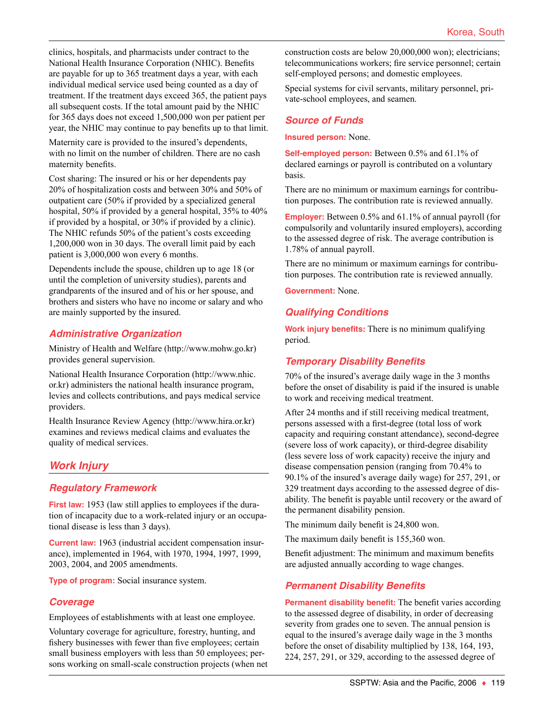clinics, hospitals, and pharmacists under contract to the National Health Insurance Corporation (NHIC). Benefits are payable for up to 365 treatment days a year, with each individual medical service used being counted as a day of treatment. If the treatment days exceed 365, the patient pays all subsequent costs. If the total amount paid by the NHIC for 365 days does not exceed 1,500,000 won per patient per year, the NHIC may continue to pay benefits up to that limit.

Maternity care is provided to the insured's dependents, with no limit on the number of children. There are no cash maternity benefits.

Cost sharing: The insured or his or her dependents pay 20% of hospitalization costs and between 30% and 50% of outpatient care (50% if provided by a specialized general hospital, 50% if provided by a general hospital, 35% to 40% if provided by a hospital, or 30% if provided by a clinic). The NHIC refunds 50% of the patient's costs exceeding 1,200,000 won in 30 days. The overall limit paid by each patient is 3,000,000 won every 6 months.

Dependents include the spouse, children up to age 18 (or until the completion of university studies), parents and grandparents of the insured and of his or her spouse, and brothers and sisters who have no income or salary and who are mainly supported by the insured.

### *Administrative Organization*

Ministry of Health and Welfare (http://www.mohw.go.kr) provides general supervision.

National Health Insurance Corporation (http://www.nhic. or.kr) administers the national health insurance program, levies and collects contributions, and pays medical service providers.

Health Insurance Review Agency (http://www.hira.or.kr) examines and reviews medical claims and evaluates the quality of medical services.

### *Work Injury*

### *Regulatory Framework*

**First law:** 1953 (law still applies to employees if the duration of incapacity due to a work-related injury or an occupational disease is less than 3 days).

**Current law:** 1963 (industrial accident compensation insurance), implemented in 1964, with 1970, 1994, 1997, 1999, 2003, 2004, and 2005 amendments.

**Type of program:** Social insurance system.

### *Coverage*

Employees of establishments with at least one employee.

Voluntary coverage for agriculture, forestry, hunting, and fishery businesses with fewer than five employees; certain small business employers with less than 50 employees; persons working on small-scale construction projects (when net construction costs are below 20,000,000 won); electricians; telecommunications workers; fire service personnel; certain self-employed persons; and domestic employees.

Special systems for civil servants, military personnel, private-school employees, and seamen.

#### *Source of Funds*

**Insured person:** None.

**Self-employed person:** Between 0.5% and 61.1% of declared earnings or payroll is contributed on a voluntary basis.

There are no minimum or maximum earnings for contribution purposes. The contribution rate is reviewed annually.

**Employer:** Between 0.5% and 61.1% of annual payroll (for compulsorily and voluntarily insured employers), according to the assessed degree of risk. The average contribution is 1.78% of annual payroll.

There are no minimum or maximum earnings for contribution purposes. The contribution rate is reviewed annually.

**Government:** None.

### *Qualifying Conditions*

**Work injury benefits:** There is no minimum qualifying period.

### *Temporary Disability Benefits*

70% of the insured's average daily wage in the 3 months before the onset of disability is paid if the insured is unable to work and receiving medical treatment.

After 24 months and if still receiving medical treatment, persons assessed with a first-degree (total loss of work capacity and requiring constant attendance), second-degree (severe loss of work capacity), or third-degree disability (less severe loss of work capacity) receive the injury and disease compensation pension (ranging from 70.4% to 90.1% of the insured's average daily wage) for 257, 291, or 329 treatment days according to the assessed degree of disability. The benefit is payable until recovery or the award of the permanent disability pension.

The minimum daily benefit is 24,800 won.

The maximum daily benefit is 155,360 won.

Benefit adjustment: The minimum and maximum benefits are adjusted annually according to wage changes.

### *Permanent Disability Benefits*

**Permanent disability benefit:** The benefit varies according to the assessed degree of disability, in order of decreasing severity from grades one to seven. The annual pension is equal to the insured's average daily wage in the 3 months before the onset of disability multiplied by 138, 164, 193, 224, 257, 291, or 329, according to the assessed degree of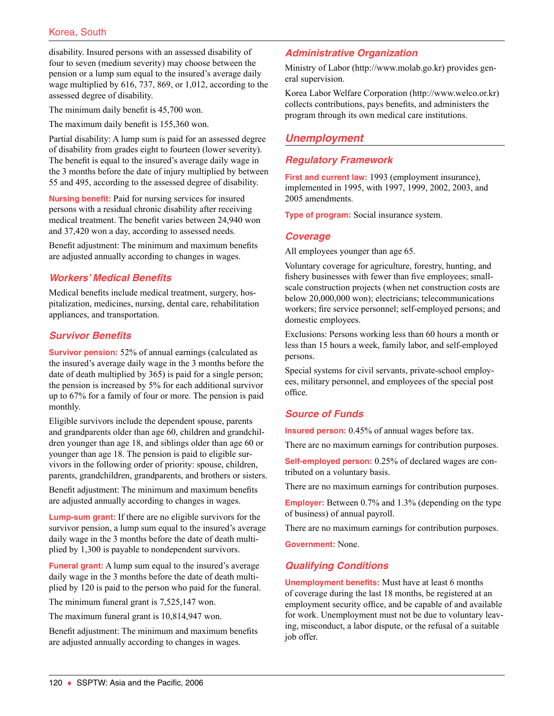disability. Insured persons with an assessed disability of four to seven (medium severity) may choose between the pension or a lump sum equal to the insured's average daily wage multiplied by 616, 737, 869, or 1,012, according to the assessed degree of disability.

The minimum daily benefit is 45,700 won.

The maximum daily benefit is 155,360 won.

Partial disability: A lump sum is paid for an assessed degree of disability from grades eight to fourteen (lower severity). The benefit is equal to the insured's average daily wage in the 3 months before the date of injury multiplied by between 55 and 495, according to the assessed degree of disability.

**Nursing benefit:** Paid for nursing services for insured persons with a residual chronic disability after receiving medical treatment. The benefit varies between 24,940 won and 37,420 won a day, according to assessed needs.

Benefit adjustment: The minimum and maximum benefits are adjusted annually according to changes in wages.

### *Workers' Medical Benefits*

Medical benefits include medical treatment, surgery, hospitalization, medicines, nursing, dental care, rehabilitation appliances, and transportation.

#### *Survivor Benefits*

**Survivor pension:** 52% of annual earnings (calculated as the insured's average daily wage in the 3 months before the date of death multiplied by 365) is paid for a single person; the pension is increased by 5% for each additional survivor up to 67% for a family of four or more. The pension is paid monthly.

Eligible survivors include the dependent spouse, parents and grandparents older than age 60, children and grandchildren younger than age 18, and siblings older than age 60 or younger than age 18. The pension is paid to eligible survivors in the following order of priority: spouse, children, parents, grandchildren, grandparents, and brothers or sisters.

Benefit adjustment: The minimum and maximum benefits are adjusted annually according to changes in wages.

**Lump-sum grant:** If there are no eligible survivors for the survivor pension, a lump sum equal to the insured's average daily wage in the 3 months before the date of death multiplied by 1,300 is payable to nondependent survivors.

**Funeral grant:** A lump sum equal to the insured's average daily wage in the 3 months before the date of death multiplied by 120 is paid to the person who paid for the funeral.

The minimum funeral grant is 7,525,147 won.

The maximum funeral grant is 10,814,947 won.

Benefit adjustment: The minimum and maximum benefits are adjusted annually according to changes in wages.

### *Administrative Organization*

Ministry of Labor (http://www.molab.go.kr) provides general supervision.

Korea Labor Welfare Corporation (http://www.welco.or.kr) collects contributions, pays benefits, and administers the program through its own medical care institutions.

# *Unemployment*

### *Regulatory Framework*

**First and current law:** 1993 (employment insurance), implemented in 1995, with 1997, 1999, 2002, 2003, and 2005 amendments.

**Type of program:** Social insurance system.

#### *Coverage*

All employees younger than age 65.

Voluntary coverage for agriculture, forestry, hunting, and fishery businesses with fewer than five employees; smallscale construction projects (when net construction costs are below 20,000,000 won); electricians; telecommunications workers; fire service personnel; self-employed persons; and domestic employees.

Exclusions: Persons working less than 60 hours a month or less than 15 hours a week, family labor, and self-employed persons.

Special systems for civil servants, private-school employees, military personnel, and employees of the special post office.

### *Source of Funds*

**Insured person:** 0.45% of annual wages before tax.

There are no maximum earnings for contribution purposes.

**Self-employed person:** 0.25% of declared wages are contributed on a voluntary basis.

There are no maximum earnings for contribution purposes.

**Employer:** Between 0.7% and 1.3% (depending on the type of business) of annual payroll.

There are no maximum earnings for contribution purposes.

**Government:** None.

### *Qualifying Conditions*

**Unemployment benefits:** Must have at least 6 months of coverage during the last 18 months, be registered at an employment security office, and be capable of and available for work. Unemployment must not be due to voluntary leaving, misconduct, a labor dispute, or the refusal of a suitable job offer.